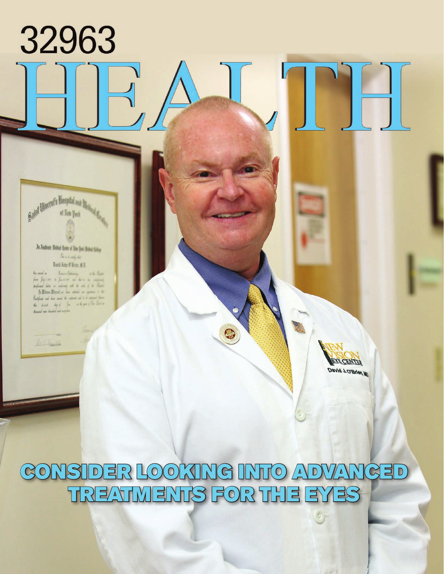a. Ja Jashuit Hobal Gate of Tim Juni Banel Giley  $R_{1,1,1,2,3,4,4,4}$  $Im(ImNm, 41)$ 

Said Huest's Baytol and

32963

Sindany while he soul a from \$4,1,000 to \$-2,000 and dat a the company  $\begin{minipage}[c]{0.9\linewidth} \begin{minipage}[c]{0.9\linewidth} \begin{minipage}[c]{0.9\linewidth} \begin{minipage}[c]{0.9\linewidth} \begin{minipage}[c]{0.9\linewidth} \end{minipage}[c]{0.9\linewidth} \begin{minipage}[c]{0.9\linewidth} \begin{minipage}[c]{0.9\linewidth} \end{minipage}[c]{0.9\linewidth} \begin{minipage}[c]{0.9\linewidth} \begin{minipage}[c]{0.9\linewidth} \end{minipage}[c]{0.9\linewidth} \end{minipage}[c]{0.9\linewidth} \begin{minipage}[c]{0.9\linewidth} \begin{minipage}[c]{0$ Confirm and has not the supers of a to support them  $\frac{d\omega}{d\omega}\xrightarrow{d\omega\omega} \frac{d\omega}{d\omega}\xrightarrow{d\omega} \frac{d\omega}{d\omega}\xrightarrow{d\omega} \frac{d\omega}{d\omega}\xrightarrow{d\omega} \frac{d\omega}{d\omega}\xrightarrow{d\omega} \frac{d\omega}{d\omega}\xrightarrow{d\omega} \frac{d\omega}{d\omega}\xrightarrow{d\omega} \frac{d\omega}{d\omega}\xrightarrow{d\omega} \frac{d\omega}{d\omega}\xrightarrow{d\omega} \frac{d\omega}{d\omega}\xrightarrow{d\omega} \frac{d\omega}{d\omega}\xrightarrow{d\omega} \frac{d\omega}{d\omega}\xrightarrow{d\omega} \frac$ 

William



## CONSIDER LOOKING INTO ADVANCED TREATMENTS FOR THE EYES

 $\mathbb{C}$